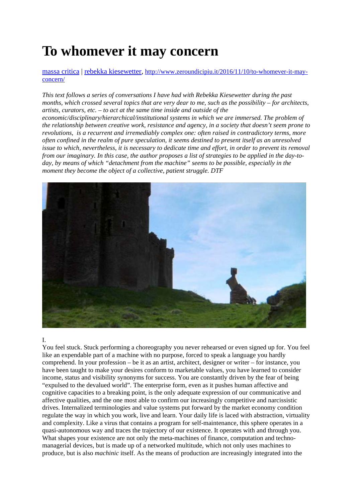# **To whomever it may concern**

[massa critica](http://www.zeroundicipiu.it/category/columns/massa-critica/) | [rebekka kiesewetter,](http://www.zeroundicipiu.it/tag/rebekka-kiesewetter/) [http://www.zeroundicipiu.it/2016/11/10/to-whomever-it-may](http://www.zeroundicipiu.it/2016/11/10/to-whomever-it-may-concern/)[concern/](http://www.zeroundicipiu.it/2016/11/10/to-whomever-it-may-concern/)

*This text follows a series of conversations I have had with Rebekka Kiesewetter during the past months, which crossed several topics that are very dear to me, such as the possibility – for architects, artists, curators, etc. – to act at the same time inside and outside of the economic/disciplinary/hierarchical/institutional systems in which we are immersed. The problem of the relationship between creative work, resistance and agency, in a society that doesn't seem prone to revolutions, is a recurrent and irremediably complex one: often raised in contradictory terms, more often confined in the realm of pure speculation, it seems destined to present itself as an unresolved issue to which, nevertheless, it is necessary to dedicate time and effort, in order to prevent its removal from our imaginary. In this case, the author proposes a list of strategies to be applied in the day-today, by means of which "detachment from the machine" seems to be possible, especially in the moment they become the object of a collective, patient struggle. DTF*



#### I.

You feel stuck. Stuck performing a choreography you never rehearsed or even signed up for. You feel like an expendable part of a machine with no purpose, forced to speak a language you hardly comprehend. In your profession – be it as an artist, architect, designer or writer – for instance, you have been taught to make your desires conform to marketable values, you have learned to consider income, status and visibility synonyms for success. You are constantly driven by the fear of being "expulsed to the devalued world". The enterprise form, even as it pushes human affective and cognitive capacities to a breaking point, is the only adequate expression of our communicative and affective qualities, and the one most able to confirm our increasingly competitive and narcissistic drives. Internalized terminologies and value systems put forward by the market economy condition regulate the way in which you work, live and learn. Your daily life is laced with abstraction, virtuality and complexity. Like a virus that contains a program for self-maintenance, this sphere operates in a quasi-autonomous way and traces the trajectory of our existence. It operates with and through you. What shapes your existence are not only the meta-machines of finance, computation and technomanagerial devices, but is made up of a networked multitude, which not only uses machines to produce, but is also *machinic* itself. As the means of production are increasingly integrated into the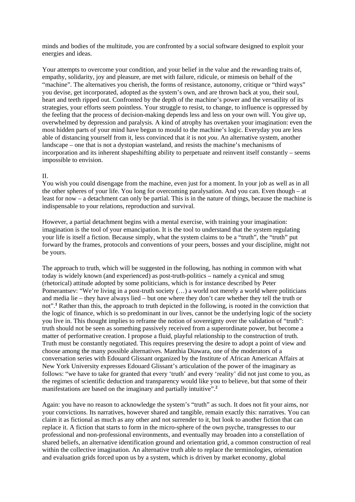minds and bodies of the multitude, you are confronted by a social software designed to exploit your energies and ideas.

Your attempts to overcome your condition, and your belief in the value and the rewarding traits of, empathy, solidarity, joy and pleasure, are met with failure, ridicule, or mimesis on behalf of the "machine". The alternatives you cherish, the forms of resistance, autonomy, critique or "third ways" you devise, get incorporated, adopted as the system's own, and are thrown back at you, their soul, heart and teeth ripped out. Confronted by the depth of the machine's power and the versatility of its strategies, your efforts seem pointless. Your struggle to resist, to change, to influence is oppressed by the feeling that the process of decision-making depends less and less on your own will. You give up, overwhelmed by depression and paralysis. A kind of atrophy has overtaken your imagination: even the most hidden parts of your mind have begun to mould to the machine's logic. Everyday you are less able of distancing yourself from it, less convinced that *it* is not *you*. An alternative system, another landscape – one that is not a dystopian wasteland, and resists the machine's mechanisms of incorporation and its inherent shapeshifting ability to perpetuate and reinvent itself constantly – seems impossible to envision.

### II.

You wish you could disengage from the machine, even just for a moment. In your job as well as in all the other spheres of your life. You long for overcoming paralysation. And you can. Even though – at least for now – a detachment can only be partial. This is in the nature of things, because the machine is indispensable to your relations, reproduction and survival.

However, a partial detachment begins with a mental exercise, with training your imagination: imagination is the tool of your emancipation. It is the tool to understand that the system regulating your life is itself a fiction. Because simply, what the system claims to be a "truth", the "truth" put forward by the frames, protocols and conventions of your peers, bosses and your discipline, might not be yours.

The approach to truth, which will be suggested in the following, has nothing in common with what today is widely known (and experienced) as post-truth-politics – namely a cynical and smug (rhetorical) attitude adopted by some politicians, which is for instance described by Peter Pomerantsev: "We're living in a post-truth society (…) a world not merely a world where politicians and media lie – they have always lied – but one where they don't care whether they tell the truth or not".<sup>1</sup> Rather than this, the approach to truth depicted in the following, is rooted in the conviction that the logic of finance, which is so predominant in our lives, cannot be the underlying logic of the society you live in. This thought implies to reframe the notion of sovereignty over the validation of "truth": truth should not be seen as something passively received from a superordinate power, but become a matter of performative creation. I propose a fluid, playful relationship to the construction of truth. Truth must be constantly negotiated. This requires preserving the desire to adopt a point of view and choose among the many possible alternatives. Manthia Diawara, one of the moderators of a conversation series with Edouard Glissant organized by the Institute of African American Affairs at New York University expresses Edouard Glissant's articulation of the power of the imaginary as follows: "we have to take for granted that every 'truth' and every 'reality' did not just come to you, as the regimes of scientific deduction and transparency would like you to believe, but that some of their manifestations are based on the imaginary and partially intuitive".**<sup>2</sup>**

Again: you have no reason to acknowledge the system's "truth" as such. It does not fit your aims, nor your convictions. Its narratives, however shared and tangible, remain exactly this: narratives. You can claim it as fictional as much as any other and not surrender to it, but look to another fiction that can replace it. A fiction that starts to form in the micro-sphere of the own psyche, transgresses to our professional and non-professional environments, and eventually may broaden into a constellation of shared beliefs, an alternative identification ground and orientation grid, a common construction of real within the collective imagination. An alternative truth able to replace the terminologies, orientation and evaluation grids forced upon us by a system, which is driven by market economy, global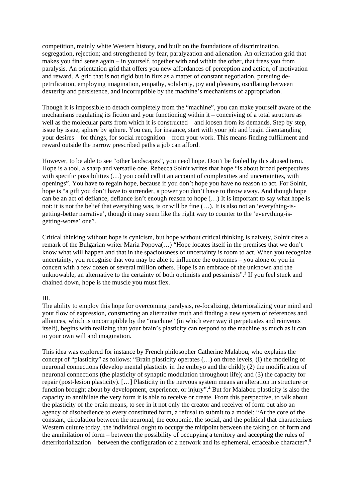competition, mainly white Western history, and built on the foundations of discrimination, segregation, rejection; and strengthened by fear, paralyzation and alienation. An orientation grid that makes you find sense again – in yourself, together with and within the other, that frees you from paralysis. An orientation grid that offers you new affordances of perception and action, of motivation and reward. A grid that is not rigid but in flux as a matter of constant negotiation, pursuing depetrification, employing imagination, empathy, solidarity, joy and pleasure, oscillating between dexterity and persistence, and incorruptible by the machine's mechanisms of appropriation.

Though it is impossible to detach completely from the "machine", you can make yourself aware of the mechanisms regulating its fiction and your functioning within it – conceiving of a total structure as well as the molecular parts from which it is constructed – and loosen from its demands. Step by step, issue by issue, sphere by sphere. You can, for instance, start with your job and begin disentangling your desires – for things, for social recognition – from your work. This means finding fulfillment and reward outside the narrow prescribed paths a job can afford.

However, to be able to see "other landscapes", you need hope. Don't be fooled by this abused term. Hope is a tool, a sharp and versatile one. Rebecca Solnit writes that hope "is about broad perspectives with specific possibilities  $(\ldots)$  you could call it an account of complexities and uncertainties, with openings". You have to regain hope, because if you don't hope you have no reason to act. For Solnit, hope is "a gift you don't have to surrender, a power you don't have to throw away. And though hope can be an act of defiance, defiance isn't enough reason to hope (…) It is important to say what hope is not: it is not the belief that everything was, is or will be fine (…). It is also not an 'everything-isgetting-better narrative', though it may seem like the right way to counter to the 'everything-isgetting-worse' one".

Critical thinking without hope is cynicism, but hope without critical thinking is naivety, Solnit cites a remark of the Bulgarian writer Maria Popova(…) "Hope locates itself in the premises that we don't know what will happen and that in the spaciousness of uncertainty is room to act. When you recognize uncertainty, you recognise that you may be able to influence the outcomes – you alone or you in concert with a few dozen or several million others. Hope is an embrace of the unknown and the unknowable, an alternative to the certainty of both optimists and pessimists".**<sup>3</sup>** If you feel stuck and chained down, hope is the muscle you must flex.

# III.

The ability to employ this hope for overcoming paralysis, re-focalizing, deterrioralizing your mind and your flow of expression, constructing an alternative truth and finding a new system of references and alliances, which is uncorruptible by the "machine" (in which ever way it perpetuates and reinvents itself), begins with realizing that your brain's plasticity can respond to the machine as much as it can to your own will and imagination.

This idea was explored for instance by French philosopher Catherine Malabou, who explains the concept of "plasticity" as follows: "Brain plasticity operates (…) on three levels, (I) the modeling of neuronal connections (develop mental plasticity in the embryo and the child); (2) the modification of neuronal connections (the plasticity of synaptic modulation throughout life); and (3) the capacity for repair (post-lesion plasticity). […] Plasticity in the nervous system means an alteration in structure or function brought about by development, experience, or injury".**<sup>4</sup>** But for Malabou plasticity is also the capacity to annihilate the very form it is able to receive or create. From this perspective, to talk about the plasticity of the brain means, to see in it not only the creator and receiver of form but also an agency of disobedience to every constituted form, a refusal to submit to a model: "At the core of the constant, circulation between the neuronal, the economic, the social, and the political that characterizes Western culture today, the individual ought to occupy the midpoint between the taking on of form and the annihilation of form – between the possibility of occupying a territory and accepting the rules of deterritorialization – between the configuration of a network and its ephemeral, effaceable character".**<sup>5</sup>**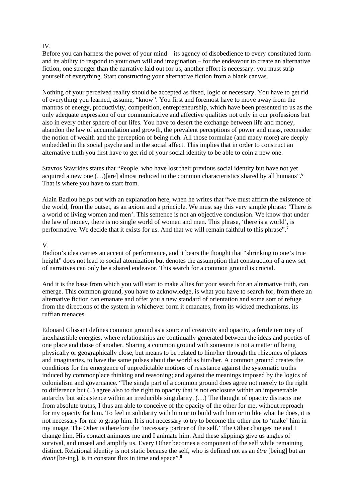## IV.

Before you can harness the power of your mind – its agency of disobedience to every constituted form and its ability to respond to your own will and imagination – for the endeavour to create an alternative fiction, one stronger than the narrative laid out for us, another effort is necessary: you must strip yourself of everything. Start constructing your alternative fiction from a blank canvas.

Nothing of your perceived reality should be accepted as fixed, logic or necessary. You have to get rid of everything you learned, assume, "know". You first and foremost have to move away from the mantras of energy, productivity, competition, entrepreneurship, which have been presented to us as the only adequate expression of our communicative and affective qualities not only in our professions but also in every other sphere of our lifes. You have to desert the exchange between life and money, abandon the law of accumulation and growth, the prevalent perceptions of power and mass, reconsider the notion of wealth and the perception of being rich. All those formulae (and many more) are deeply embedded in the social psyche and in the social affect. This implies that in order to construct an alternative truth you first have to get rid of your social identity to be able to coin a new one.

Stavros Stavrides states that "People, who have lost their previous social identity but have not yet acquired a new one (…)[are] almost reduced to the common characteristics shared by all humans".**<sup>6</sup>** That is where you have to start from.

Alain Badiou helps out with an explanation here, when he writes that "we must affirm the existence of the world, from the outset, as an axiom and a principle. We must say this very simple phrase: 'There is a world of living women and men'. This sentence is not an objective conclusion. We know that under the law of money, there is no single world of women and men. This phrase, 'there is a world', is performative. We decide that it exists for us. And that we will remain faithful to this phrase".**<sup>7</sup>**

#### V.

Badiou's idea carries an accent of performance, and it bears the thought that "shrinking to one's true height" does not lead to social atomization but denotes the assumption that construction of a new set of narratives can only be a shared endeavor. This search for a common ground is crucial.

And it is the base from which you will start to make allies for your search for an alternative truth, can emerge. This common ground, you have to acknowledge, is what you have to search for, from there an alternative fiction can emanate and offer you a new standard of orientation and some sort of refuge from the directions of the system in whichever form it emanates, from its wicked mechanisms, its ruffian menaces.

Edouard Glissant defines common ground as a source of creativity and opacity, a fertile territory of inexhaustible energies, where relationships are continually generated between the ideas and poetics of one place and those of another. Sharing a common ground with someone is not a matter of being physically or geographically close, but means to be related to him/her through the rhizomes of places and imaginaries, to have the same pulses about the world as him/her. A common ground creates the conditions for the emergence of unpredictable motions of resistance against the systematic truths induced by commonplace thinking and reasoning; and against the meanings imposed by the logics of colonialism and governance. "The single part of a common ground does agree not merely to the right to difference but (..) agree also to the right to opacity that is not enclosure within an impenetrable autarchy but subsistence within an irreducible singularity. (…) The thought of opacity distracts me from absolute truths, I thus am able to conceive of the opacity of the other for me, without reproach for my opacity for him. To feel in solidarity with him or to build with him or to like what he does, it is not necessary for me to grasp him. It is not necessary to try to become the other nor to 'make' him in my image. The Other is therefore the 'necessary partner of the self.' The Other changes me and I change him. His contact animates me and I animate him. And these slippings give us angles of survival, and unseal and amplify us. Every Other becomes a component of the self while remaining distinct. Relational identity is not static because the self, who is defined not as an *être* [being] but an *étant* [be-ing], is in constant flux in time and space".**<sup>8</sup>**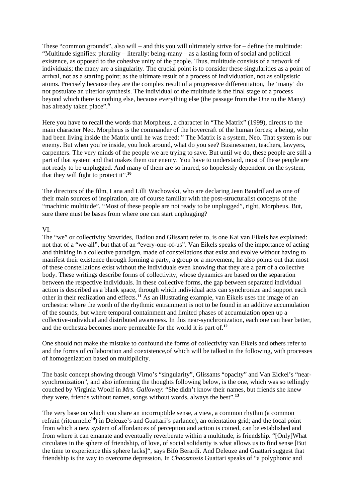These "common grounds", also will – and this you will ultimately strive for – define the multitude: "Multitude signifies: plurality – literally: being-many – as a lasting form of social and political existence, as opposed to the cohesive unity of the people. Thus, multitude consists of a network of individuals; the many are a singularity. The crucial point is to consider these singularities as a point of arrival, not as a starting point; as the ultimate result of a process of individuation, not as solipsistic atoms. Precisely because they are the complex result of a progressive differentiation, the 'many' do not postulate an ulterior synthesis. The individual of the multitude is the final stage of a process beyond which there is nothing else, because everything else (the passage from the One to the Many) has already taken place".**<sup>9</sup>**

Here you have to recall the words that Morpheus, a character in "The Matrix" (1999), directs to the main character Neo. Morpheus is the commander of the hovercraft of the human forces; a being, who had been living inside the Matrix until he was freed: " The Matrix is a system, Neo. That system is our enemy. But when you're inside, you look around, what do you see? Businessmen, teachers, lawyers, carpenters. The very minds of the people we are trying to save. But until we do, these people are still a part of that system and that makes them our enemy. You have to understand, most of these people are not ready to be unplugged. And many of them are so inured, so hopelessly dependent on the system, that they will fight to protect it".**<sup>10</sup>**

The directors of the film, Lana and Lilli Wachowski, who are declaring Jean Baudrillard as one of their main sources of inspiration, are of course familiar with the post-structuralist concepts of the "machinic multitude". "Most of these people are not ready to be unplugged", right, Morpheus. But, sure there must be bases from where one can start unplugging?

#### VI.

The "we" or collectivity Stavrides, Badiou and Glissant refer to, is one Kai van Eikels has explained: not that of a "we-all", but that of an "every-one-of-us". Van Eikels speaks of the importance of acting and thinking in a collective paradigm, made of constellations that exist and evolve without having to manifest their existence through forming a party, a group or a movement; he also points out that most of these constellations exist without the individuals even knowing that they are a part of a collective body. These writings describe forms of collectivity, whose dynamics are based on the separation between the respective individuals. In these collective forms, the gap between separated individual action is described as a blank space, through which individual acts can synchronize and support each other in their realization and effects.**<sup>11</sup>** As an illustrating example, van Eikels uses the image of an orchestra: where the worth of the rhythmic entrainment is not to be found in an additive accumulation of the sounds, but where temporal containment and limited phases of accumulation open up a collective-individual and distributed awareness. In this near-synchronization, each one can hear better, and the orchestra becomes more permeable for the world it is part of.**<sup>12</sup>**

One should not make the mistake to confound the forms of collectivity van Eikels and others refer to and the forms of collaboration and coexistence,of which will be talked in the following, with processes of homogenization based on multiplicity.

The basic concept showing through Virno's "singularity", Glissants "opacity" and Van Eickel's "nearsynchronization", and also informing the thoughts following below, is the one, which was so tellingly couched by Virginia Woolf in *Mrs. Galloway*: "She didn't know their names, but friends she knew they were, friends without names, songs without words, always the best".**<sup>13</sup>**

The very base on which you share an incorruptible sense, a view, a common rhythm (a common refrain (ritournelle**<sup>14</sup>**) in Deleuze's and Guattari's parlance), an orientation grid; and the focal point from which a new system of affordances of perception and action is coined, can be established and from where it can emanate and eventually reverberate within a multitude, is friendship. "[Only]What circulates in the sphere of friendship, of love, of social solidarity is what allows us to find sense [But the time to experience this sphere lacks]", says Bifo Berardi. And Deleuze and Guattari suggest that friendship is the way to overcome depression, In *Chaosmosis* Guattari speaks of "a polyphonic and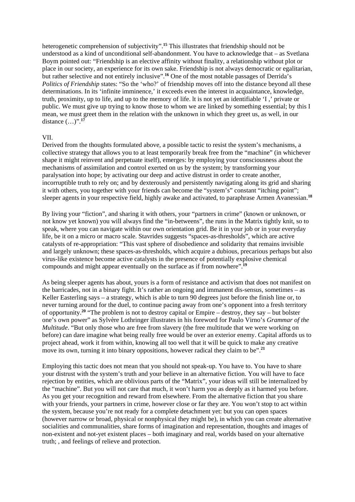heterogenetic comprehension of subjectivity".**<sup>15</sup>** This illustrates that friendship should not be understood as a kind of unconditional self-abandonment. You have to acknowledge that – as Svetlana Boym pointed out: "Friendship is an elective affinity without finality, a relationship without plot or place in our society, an experience for its own sake. Friendship is not always democratic or egalitarian, but rather selective and not entirely inclusive".<sup>16</sup> One of the most notable passages of Derrida's *Politics of Friendship* states: "So the 'who?' of friendship moves off into the distance beyond all these determinations. In its 'infinite imminence,' it exceeds even the interest in acquaintance, knowledge, truth, proximity, up to life, and up to the memory of life. lt is not yet an identifiable 'I ,' private or public. We must give up trying to know those to whom we are linked by something essential; by this I mean, we must greet them in the relation with the unknown in which they greet us, as well, in our distance (…)".**<sup>17</sup>**

### VII.

Derived from the thoughts formulated above, a possible tactic to resist the system's mechanisms, a collective strategy that allows you to at least temporarily break free from the "machine" (in whichever shape it might reinvent and perpetuate itself), emerges: by employing your consciousness about the mechanisms of assimilation and control exerted on us by the system; by transforming your paralysation into hope; by activating our deep and active distrust in order to create another, incorruptible truth to rely on; and by dexterously and persistently navigating along its grid and sharing it with others, you together with your friends can become the "system's" constant "itching point"; sleeper agents in your respective field, highly awake and activated, to paraphrase Armen Avanessian.**<sup>18</sup>**

By living your "fiction", and sharing it with others, your "partners in crime" (known or unknown, or not know yet known) you will always find the "in-betweens", the runs in the Matrix tightly knit, so to speak, where you can navigate within our own orientation grid. Be it in your job or in your everyday life, be it on a micro or macro scale. Stavrides suggests "spaces-as-thresholds", which are active catalysts of re-appropriation: "This vast sphere of disobedience and solidarity that remains invisible and largely unknown; these spaces-as-thresholds, which acquire a dubious, precarious perhaps but also virus-like existence become active catalysts in the presence of potentially explosive chemical compounds and might appear eventually on the surface as if from nowhere".**<sup>19</sup>**

As being sleeper agents has about, yours is a form of resistance and activism that does not manifest on the barricades, not in a binary fight. It's rather an ongoing and immanent dis-sensus, sometimes – as Keller Easterling says – a strategy, which is able to turn 90 degrees just before the finish line or, to never turning around for the duel, to continue pacing away from one's opponent into a fresh territory of opportunity.**<sup>20</sup>** "The problem is not to destroy capital or Empire – destroy, they say – but bolster one's own power" as Sylvère Lothringer illustrates in his foreword for Paulo Virno's *Grammar of the Multitude*. "But only those who are free from slavery (the free multitude that we were working on before) can dare imagine what being really free would be over an exterior enemy. Capital affords us to project ahead, work it from within, knowing all too well that it will be quick to make any creative move its own, turning it into binary oppositions, however radical they claim to be".<sup>21</sup>

Employing this tactic does not mean that you should not speak-up. You have to. You have to share your distrust with the system's truth and your believe in an alternative fiction. You will have to face rejection by entities, which are oblivious parts of the "Matrix", your ideas will still be internalized by the "machine". But you will not care that much, it won't harm you as deeply as it harmed you before. As you get your recognition and reward from elsewhere. From the alternative fiction that you share with your friends, your partners in crime, however close or far they are. You won't stop to act within the system, because you're not ready for a complete detachment yet: but you can open spaces (however narrow or broad, physical or nonphysical they might be), in which you can create alternative socialities and communalities, share forms of imagination and representation, thoughts and images of non-existent and not-yet existent places – both imaginary and real, worlds based on your alternative truth; , and feelings of relieve and protection.